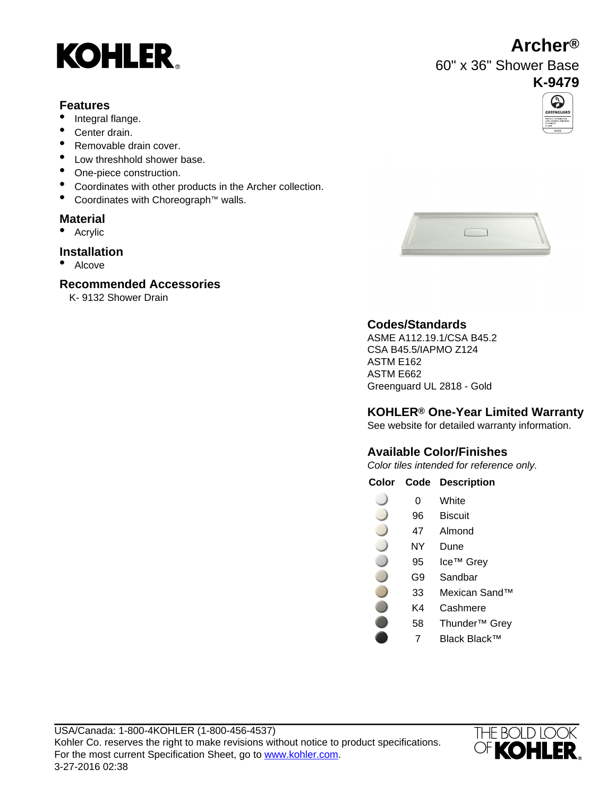# **KOHLER**

#### **Features**

- Integral flange.
- Center drain.
- Removable drain cover.
- Low threshhold shower base.
- One-piece construction.
- Coordinates with other products in the Archer collection.
- Coordinates with Choreograph™ walls.

#### **Material**

• Acrylic

#### **Installation**

• Alcove

#### **Recommended Accessories**

K- 9132 Shower Drain





### **Codes/Standards**

ASME A112.19.1/CSA B45.2 CSA B45.5/IAPMO Z124 ASTM E162 ASTM E662 Greenguard UL 2818 - Gold

#### **KOHLER® One-Year Limited Warranty**

See website for detailed warranty information.

### **Available Color/Finishes**

Color tiles intended for reference only.

#### **Color Code Description**

- 0 White
- 96 Biscuit
- 47 Almond
- NY Dune
- 95 Ice™ Grey
	- G9 Sandbar
	- 33 Mexican Sand™
		- K4 Cashmere
		- 58 Thunder™ Grey
			- 7 Black Black™



# **Archer®**

60" x 36" Shower Base